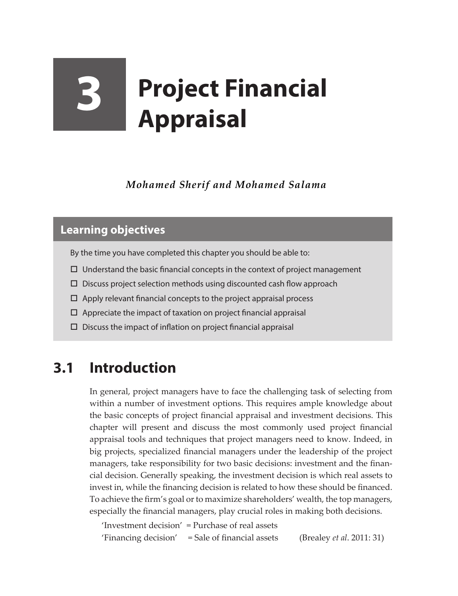# **3 Project Financial Appraisal**

*Mohamed Sherif and Mohamed Salama*

### **Learning objectives**

By the time you have completed this chapter you should be able to:

- $\Box$  Understand the basic financial concepts in the context of project management
- $\square$  Discuss project selection methods using discounted cash flow approach
- $\Box$  Apply relevant financial concepts to the project appraisal process
- $\Box$  Appreciate the impact of taxation on project financial appraisal
- $\square$  Discuss the impact of inflation on project financial appraisal

# **3.1 Introduction**

In general, project managers have to face the challenging task of selecting from within a number of investment options. This requires ample knowledge about the basic concepts of project financial appraisal and investment decisions. This chapter will present and discuss the most commonly used project financial appraisal tools and techniques that project managers need to know. Indeed, in big projects, specialized financial managers under the leadership of the project managers, take responsibility for two basic decisions: investment and the financial decision. Generally speaking, the investment decision is which real assets to invest in, while the financing decision is related to how these should be financed. To achieve the firm's goal or to maximize shareholders' wealth, the top managers, especially the financial managers, play crucial roles in making both decisions.

'Investment decision' = Purchase of real assets 'Financing decision' = Sale of financial assets (Brealey *et al*. 2011: 31)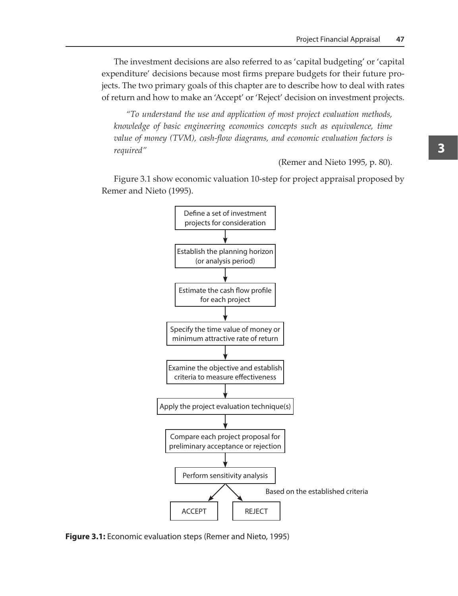The investment decisions are also referred to as 'capital budgeting' or 'capital expenditure' decisions because most firms prepare budgets for their future projects. The two primary goals of this chapter are to describe how to deal with rates of return and how to make an 'Accept' or 'Reject' decision on investment projects.

*"To understand the use and application of most project evaluation methods, knowledge of basic engineering economics concepts such as equivalence, time value of money (TVM), cash-flow diagrams, and economic evaluation factors is required"* 

(Remer and Nieto 1995, p. 80).

Figure 3.1 show economic valuation 10-step for project appraisal proposed by Remer and Nieto (1995).



**Figure 3.1:** Economic evaluation steps (Remer and Nieto, 1995)